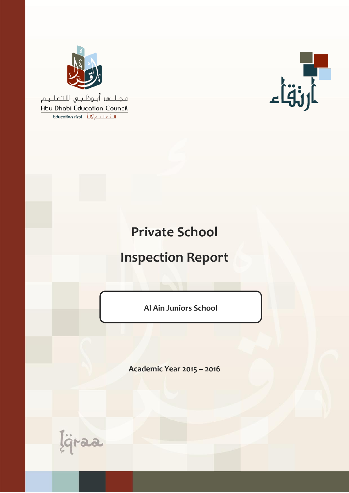

مجلس أبوظبي للتعليم Abu Dhabi Education Council الـتَّعليم أَوْلَهُ Education First



# **Private School**

# **Inspection Report**

**Al Ain Juniors School**

**Academic Year 2015 – 2016**

ligraa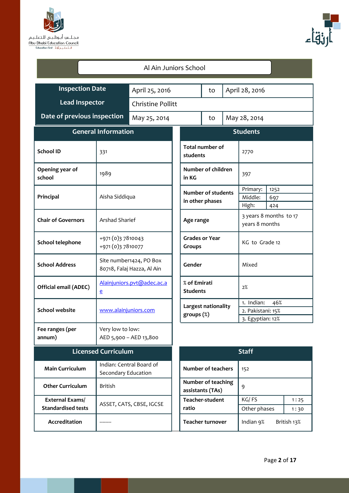



| Al Ain Juniors School                        |                                                       |                            |                                 |                                              |  |                                                            |                    |              |
|----------------------------------------------|-------------------------------------------------------|----------------------------|---------------------------------|----------------------------------------------|--|------------------------------------------------------------|--------------------|--------------|
| <b>Inspection Date</b><br>April 25, 2016     |                                                       |                            |                                 | April 28, 2016<br>to                         |  |                                                            |                    |              |
| <b>Lead Inspector</b>                        |                                                       | <b>Christine Pollitt</b>   |                                 |                                              |  |                                                            |                    |              |
| Date of previous inspection                  |                                                       | May 25, 2014               |                                 | May 28, 2014<br>to                           |  |                                                            |                    |              |
| <b>General Information</b>                   |                                                       |                            |                                 |                                              |  | <b>Students</b>                                            |                    |              |
| <b>School ID</b>                             | 331                                                   |                            |                                 | <b>Total number of</b><br>students           |  | 2770                                                       |                    |              |
| Opening year of<br>school                    | 1989                                                  |                            | in KG                           | Number of children                           |  | 397                                                        |                    |              |
| Principal                                    | Aisha Siddiqua                                        |                            |                                 | <b>Number of students</b><br>in other phases |  | Primary:<br>Middle:<br>High:                               | 1252<br>697<br>424 |              |
| <b>Chair of Governors</b>                    | Arshad Sharief                                        |                            |                                 | Age range                                    |  | 3 years 8 months to 17<br>years 8 months                   |                    |              |
| School telephone                             | +971 (0) 37810043<br>+971 (0) 37810077                |                            |                                 | <b>Grades or Year</b><br><b>Groups</b>       |  | KG to Grade 12                                             |                    |              |
| <b>School Address</b>                        | Site number1424, PO Box<br>80718, Falaj Hazza, Al Ain |                            |                                 | Gender                                       |  | Mixed                                                      |                    |              |
| Official email (ADEC)                        | e                                                     | Alainjuniors.pvt@adec.ac.a | % of Emirati<br><b>Students</b> |                                              |  | 2%                                                         |                    |              |
| <b>School website</b>                        | www.alainjuniors.com                                  |                            |                                 | Largest nationality<br>groups $(\%)$         |  | 1. Indian:<br>46%<br>2. Pakistani: 15%<br>3. Egyptian: 12% |                    |              |
| Fee ranges (per<br>annum)                    | Very low to low:                                      | AED 5,900 - AED 13,800     |                                 |                                              |  |                                                            |                    |              |
|                                              | <b>Licensed Curriculum</b>                            |                            |                                 |                                              |  | <b>Staff</b>                                               |                    |              |
| <b>Main Curriculum</b>                       | Secondary Education                                   | Indian: Central Board of   |                                 | <b>Number of teachers</b>                    |  |                                                            | 152                |              |
| <b>Other Curriculum</b>                      | <b>British</b>                                        |                            |                                 | Number of teaching<br>assistants (TAs)       |  | 9                                                          |                    |              |
| External Exams/<br><b>Standardised tests</b> |                                                       | ASSET, CATS, CBSE, IGCSE   | Teacher-student<br>ratio        |                                              |  | KG/FS<br>Other phases                                      |                    | 1:25<br>1:30 |
| Accreditation                                |                                                       |                            |                                 | <b>Teacher turnover</b>                      |  | Indian 9%                                                  |                    | British 13%  |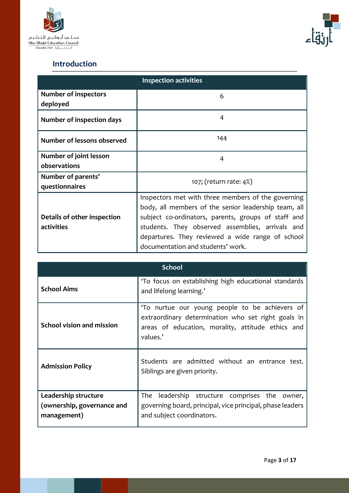



## **Introduction**

|                                         | <b>Inspection activities</b>                         |  |  |  |  |  |
|-----------------------------------------|------------------------------------------------------|--|--|--|--|--|
| <b>Number of inspectors</b><br>deployed | 6                                                    |  |  |  |  |  |
| <b>Number of inspection days</b>        | 4                                                    |  |  |  |  |  |
| Number of lessons observed              | 144                                                  |  |  |  |  |  |
| Number of joint lesson                  | 4                                                    |  |  |  |  |  |
| observations                            |                                                      |  |  |  |  |  |
| Number of parents'                      | 107; (return rate: 4%)                               |  |  |  |  |  |
| questionnaires                          |                                                      |  |  |  |  |  |
|                                         | Inspectors met with three members of the governing   |  |  |  |  |  |
|                                         | body, all members of the senior leadership team, all |  |  |  |  |  |
| Details of other inspection             | subject co-ordinators, parents, groups of staff and  |  |  |  |  |  |
| activities                              | students. They observed assemblies, arrivals and     |  |  |  |  |  |
|                                         | departures. They reviewed a wide range of school     |  |  |  |  |  |
|                                         | documentation and students' work.                    |  |  |  |  |  |

| School                                                                                  |                                                                                                                                                                       |  |  |  |  |
|-----------------------------------------------------------------------------------------|-----------------------------------------------------------------------------------------------------------------------------------------------------------------------|--|--|--|--|
| <b>School Aims</b>                                                                      | 'To focus on establishing high educational standards<br>and lifelong learning.'                                                                                       |  |  |  |  |
| School vision and mission                                                               | 'To nurtue our young people to be achievers of<br>extraordinary determination who set right goals in<br>areas of education, morality, attitude ethics and<br>values.' |  |  |  |  |
| <b>Admission Policy</b>                                                                 | Students are admitted without an entrance test.<br>Siblings are given priority.                                                                                       |  |  |  |  |
| Leadership structure                                                                    | leadership structure comprises the owner,<br>The                                                                                                                      |  |  |  |  |
| (ownership, governance and<br>governing board, principal, vice principal, phase leaders |                                                                                                                                                                       |  |  |  |  |
| management)                                                                             | and subject coordinators.                                                                                                                                             |  |  |  |  |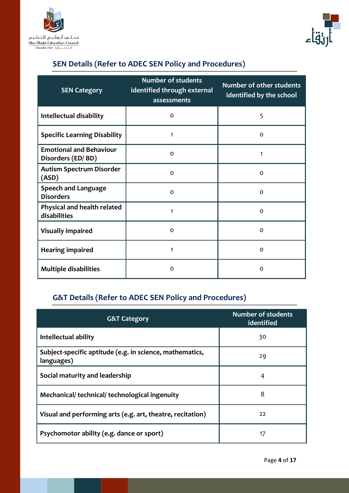



## **SEN Details (Refer to ADEC SEN Policy and Procedures)**

| <b>SEN Category</b>                                 | <b>Number of students</b><br>identified through external<br>assessments | <b>Number of other students</b><br>identified by the school |
|-----------------------------------------------------|-------------------------------------------------------------------------|-------------------------------------------------------------|
| Intellectual disability                             | $\Omega$                                                                | 5                                                           |
| <b>Specific Learning Disability</b>                 | 1                                                                       | $\circ$                                                     |
| <b>Emotional and Behaviour</b><br>Disorders (ED/BD) | $\Omega$                                                                | 1                                                           |
| <b>Autism Spectrum Disorder</b><br>(ASD)            | $\Omega$                                                                | $\Omega$                                                    |
| <b>Speech and Language</b><br><b>Disorders</b>      | $\Omega$                                                                | $\circ$                                                     |
| Physical and health related<br>disabilities         | 1                                                                       | $\Omega$                                                    |
| <b>Visually impaired</b>                            | $\Omega$                                                                | $\circ$                                                     |
| <b>Hearing impaired</b>                             | 1                                                                       | $\Omega$                                                    |
| <b>Multiple disabilities</b>                        | $\Omega$                                                                | $\circ$                                                     |

## **G&T Details (Refer to ADEC SEN Policy and Procedures)**

| <b>G&amp;T Category</b>                                                | <b>Number of students</b><br>identified |
|------------------------------------------------------------------------|-----------------------------------------|
| Intellectual ability                                                   | 30                                      |
| Subject-specific aptitude (e.g. in science, mathematics,<br>languages) | 29                                      |
| Social maturity and leadership                                         | 4                                       |
| Mechanical/technical/technological ingenuity                           | 8                                       |
| Visual and performing arts (e.g. art, theatre, recitation)             | 22                                      |
| Psychomotor ability (e.g. dance or sport)                              | 17                                      |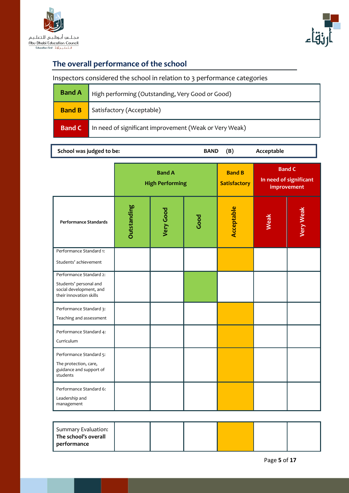



## **The overall performance of the school**

L

## Inspectors considered the school in relation to 3 performance categories

| <b>Band A</b> | High performing (Outstanding, Very Good or Good)       |
|---------------|--------------------------------------------------------|
| <b>Band B</b> | Satisfactory (Acceptable)                              |
| <b>Band C</b> | In need of significant improvement (Weak or Very Weak) |

|  | School was judged to be: |
|--|--------------------------|
|--|--------------------------|

BAND (B) Acceptable

|                                                                                                         | <b>Band A</b><br><b>High Performing</b> |                  | <b>Band B</b><br><b>Satisfactory</b> | <b>Band C</b> | In need of significant<br>improvement |                  |
|---------------------------------------------------------------------------------------------------------|-----------------------------------------|------------------|--------------------------------------|---------------|---------------------------------------|------------------|
| <b>Performance Standards</b>                                                                            | Outstanding                             | <b>Very Good</b> | Good                                 | Acceptable    | Weak                                  | <b>Very Weak</b> |
| Performance Standard 1:<br>Students' achievement                                                        |                                         |                  |                                      |               |                                       |                  |
| Performance Standard 2:<br>Students' personal and<br>social development, and<br>their innovation skills |                                         |                  |                                      |               |                                       |                  |
| Performance Standard 3:<br>Teaching and assessment                                                      |                                         |                  |                                      |               |                                       |                  |
| Performance Standard 4:<br>Curriculum                                                                   |                                         |                  |                                      |               |                                       |                  |
| Performance Standard 5:<br>The protection, care,<br>guidance and support of<br>students                 |                                         |                  |                                      |               |                                       |                  |
| Performance Standard 6:<br>Leadership and<br>management                                                 |                                         |                  |                                      |               |                                       |                  |

| Summary Evaluation:  |  |  |  |
|----------------------|--|--|--|
| The school's overall |  |  |  |
| performance          |  |  |  |
|                      |  |  |  |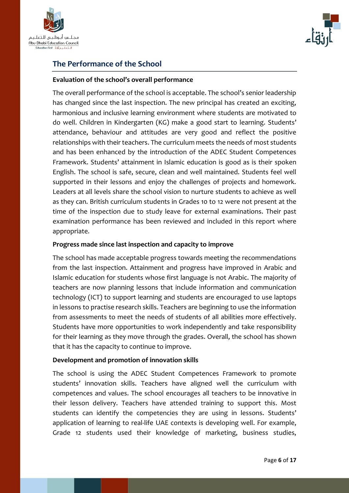



#### **The Performance of the School**

#### **Evaluation of the school's overall performance**

The overall performance of the school is acceptable. The school's senior leadership has changed since the last inspection. The new principal has created an exciting, harmonious and inclusive learning environment where students are motivated to do well. Children in Kindergarten (KG) make a good start to learning. Students' attendance, behaviour and attitudes are very good and reflect the positive relationships with their teachers. The curriculum meets the needs of most students and has been enhanced by the introduction of the ADEC Student Competences Framework. Students' attainment in Islamic education is good as is their spoken English. The school is safe, secure, clean and well maintained. Students feel well supported in their lessons and enjoy the challenges of projects and homework. Leaders at all levels share the school vision to nurture students to achieve as well as they can. British curriculum students in Grades 10 to 12 were not present at the time of the inspection due to study leave for external examinations. Their past examination performance has been reviewed and included in this report where appropriate.

#### **Progress made since last inspection and capacity to improve**

The school has made acceptable progress towards meeting the recommendations from the last inspection. Attainment and progress have improved in Arabic and Islamic education for students whose first language is not Arabic. The majority of teachers are now planning lessons that include information and communication technology (ICT) to support learning and students are encouraged to use laptops in lessons to practise research skills. Teachers are beginning to use the information from assessments to meet the needs of students of all abilities more effectively. Students have more opportunities to work independently and take responsibility for their learning as they move through the grades. Overall, the school has shown that it has the capacity to continue to improve.

#### **Development and promotion of innovation skills**

The school is using the ADEC Student Competences Framework to promote students' innovation skills. Teachers have aligned well the curriculum with competences and values. The school encourages all teachers to be innovative in their lesson delivery. Teachers have attended training to support this. Most students can identify the competencies they are using in lessons. Students' application of learning to real-life UAE contexts is developing well. For example, Grade 12 students used their knowledge of marketing, business studies,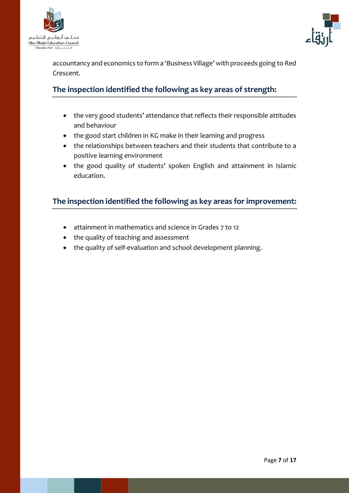



accountancy and economics to form a 'Business Village' with proceeds going to Red Crescent.

### **The inspection identified the following as key areas of strength:**

- the very good students' attendance that reflects their responsible attitudes and behaviour
- the good start children in KG make in their learning and progress
- the relationships between teachers and their students that contribute to a positive learning environment
- the good quality of students' spoken English and attainment in Islamic education.

#### **The inspection identified the following as key areas for improvement:**

- attainment in mathematics and science in Grades 7 to 12
- the quality of teaching and assessment
- the quality of self-evaluation and school development planning.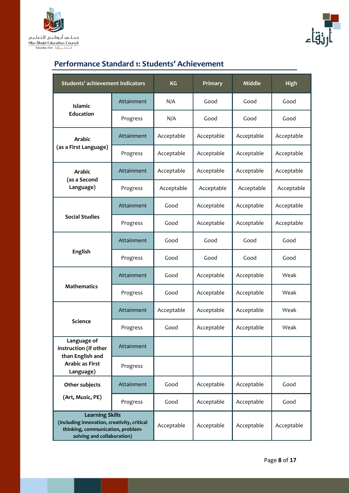



## **Performance Standard 1: Students' Achievement**

| <b>Students' achievement Indicators</b>                                                                                                  |            | <b>KG</b>  | Primary    | <b>Middle</b> | <b>High</b> |
|------------------------------------------------------------------------------------------------------------------------------------------|------------|------------|------------|---------------|-------------|
| <b>Islamic</b>                                                                                                                           | Attainment | N/A        | Good       | Good          | Good        |
| <b>Education</b>                                                                                                                         | Progress   | N/A        | Good       | Good          | Good        |
| <b>Arabic</b>                                                                                                                            | Attainment | Acceptable | Acceptable | Acceptable    | Acceptable  |
| (as a First Language)                                                                                                                    | Progress   | Acceptable | Acceptable | Acceptable    | Acceptable  |
| <b>Arabic</b><br>(as a Second                                                                                                            | Attainment | Acceptable | Acceptable | Acceptable    | Acceptable  |
| Language)                                                                                                                                | Progress   | Acceptable | Acceptable | Acceptable    | Acceptable  |
|                                                                                                                                          | Attainment | Good       | Acceptable | Acceptable    | Acceptable  |
| <b>Social Studies</b>                                                                                                                    | Progress   | Good       | Acceptable | Acceptable    | Acceptable  |
|                                                                                                                                          | Attainment | Good       | Good       | Good          | Good        |
| <b>English</b>                                                                                                                           | Progress   | Good       | Good       | Good          | Good        |
|                                                                                                                                          | Attainment | Good       | Acceptable | Acceptable    | Weak        |
| <b>Mathematics</b>                                                                                                                       | Progress   | Good       | Acceptable | Acceptable    | Weak        |
|                                                                                                                                          | Attainment | Acceptable | Acceptable | Acceptable    | Weak        |
| <b>Science</b>                                                                                                                           | Progress   | Good       | Acceptable | Acceptable    | Weak        |
| Language of<br>instruction (if other                                                                                                     | Attainment |            |            |               |             |
| than English and<br><b>Arabic as First</b><br>Language)                                                                                  | Progress   |            |            |               |             |
| Other subjects                                                                                                                           | Attainment | Good       | Acceptable | Acceptable    | Good        |
| (Art, Music, PE)                                                                                                                         | Progress   | Good       | Acceptable | Acceptable    | Good        |
| <b>Learning Skills</b><br>(including innovation, creativity, critical<br>thinking, communication, problem-<br>solving and collaboration) |            | Acceptable | Acceptable | Acceptable    | Acceptable  |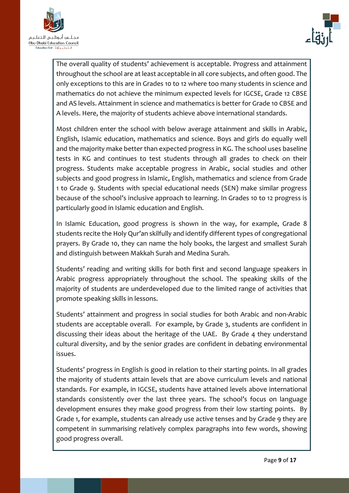



The overall quality of students' achievement is acceptable. Progress and attainment throughout the school are at least acceptable in all core subjects, and often good. The only exceptions to this are in Grades 10 to 12 where too many students in science and mathematics do not achieve the minimum expected levels for IGCSE, Grade 12 CBSE and AS levels. Attainment in science and mathematics is better for Grade 10 CBSE and A levels. Here, the majority of students achieve above international standards.

Most children enter the school with below average attainment and skills in Arabic, English, Islamic education, mathematics and science. Boys and girls do equally well and the majority make better than expected progress in KG. The school uses baseline tests in KG and continues to test students through all grades to check on their progress. Students make acceptable progress in Arabic, social studies and other subjects and good progress in Islamic, English, mathematics and science from Grade 1 to Grade 9. Students with special educational needs (SEN) make similar progress because of the school's inclusive approach to learning. In Grades 10 to 12 progress is particularly good in Islamic education and English.

In Islamic Education, good progress is shown in the way, for example, Grade 8 students recite the Holy Qur'an skilfully and identify different types of congregational prayers. By Grade 10, they can name the holy books, the largest and smallest Surah and distinguish between Makkah Surah and Medina Surah.

Students' reading and writing skills for both first and second language speakers in Arabic progress appropriately throughout the school. The speaking skills of the majority of students are underdeveloped due to the limited range of activities that promote speaking skills in lessons.

Students' attainment and progress in social studies for both Arabic and non-Arabic students are acceptable overall. For example, by Grade 3, students are confident in discussing their ideas about the heritage of the UAE. By Grade 4 they understand cultural diversity, and by the senior grades are confident in debating environmental issues.

Students' progress in English is good in relation to their starting points. In all grades the majority of students attain levels that are above curriculum levels and national standards. For example, in IGCSE, students have attained levels above international standards consistently over the last three years. The school's focus on language development ensures they make good progress from their low starting points. By Grade 1, for example, students can already use active tenses and by Grade 9 they are competent in summarising relatively complex paragraphs into few words, showing good progress overall.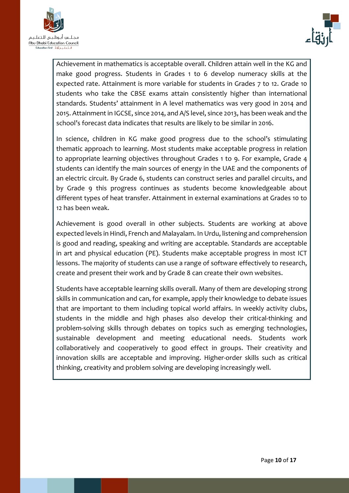



Achievement in mathematics is acceptable overall. Children attain well in the KG and make good progress. Students in Grades 1 to 6 develop numeracy skills at the expected rate. Attainment is more variable for students in Grades 7 to 12. Grade 10 students who take the CBSE exams attain consistently higher than international standards. Students' attainment in A level mathematics was very good in 2014 and 2015. Attainment in IGCSE, since 2014, and A/S level, since 2013, has been weak and the school's forecast data indicates that results are likely to be similar in 2016.

In science, children in KG make good progress due to the school's stimulating thematic approach to learning. Most students make acceptable progress in relation to appropriate learning objectives throughout Grades 1 to 9. For example, Grade 4 students can identify the main sources of energy in the UAE and the components of an electric circuit. By Grade 6, students can construct series and parallel circuits, and by Grade 9 this progress continues as students become knowledgeable about different types of heat transfer. Attainment in external examinations at Grades 10 to 12 has been weak.

Achievement is good overall in other subjects. Students are working at above expected levels in Hindi, French and Malayalam. In Urdu, listening and comprehension is good and reading, speaking and writing are acceptable. Standards are acceptable in art and physical education (PE). Students make acceptable progress in most ICT lessons. The majority of students can use a range of software effectively to research, create and present their work and by Grade 8 can create their own websites.

Students have acceptable learning skills overall. Many of them are developing strong skills in communication and can, for example, apply their knowledge to debate issues that are important to them including topical world affairs. In weekly activity clubs, students in the middle and high phases also develop their critical-thinking and problem-solving skills through debates on topics such as emerging technologies, sustainable development and meeting educational needs. Students work collaboratively and cooperatively to good effect in groups. Their creativity and innovation skills are acceptable and improving. Higher-order skills such as critical thinking, creativity and problem solving are developing increasingly well.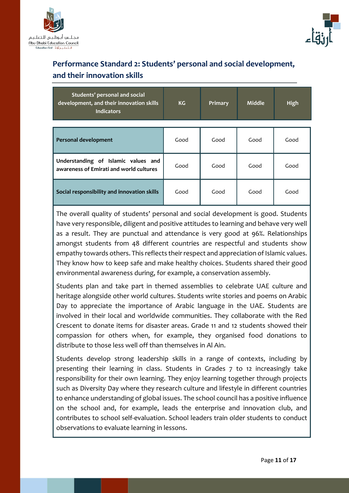



## **Performance Standard 2: Students' personal and social development, and their innovation skills**

| Students' personal and social<br>development, and their innovation skills<br><b>Indicators</b> | KG <sub>1</sub> | Primary | <b>Middle</b> | High |
|------------------------------------------------------------------------------------------------|-----------------|---------|---------------|------|
|                                                                                                |                 |         |               |      |
| Personal development                                                                           | Good            | Good    | Good          | Good |
| Understanding of Islamic values and<br>awareness of Emirati and world cultures                 | Good            | Good    | Good          | Good |
| Social responsibility and innovation skills                                                    | Good            | Good    | Good          | Good |

The overall quality of students' personal and social development is good. Students have very responsible, diligent and positive attitudes to learning and behave very well as a result. They are punctual and attendance is very good at 96%. Relationships amongst students from 48 different countries are respectful and students show empathy towards others. This reflects their respect and appreciation of Islamic values. They know how to keep safe and make healthy choices. Students shared their good environmental awareness during, for example, a conservation assembly.

Students plan and take part in themed assemblies to celebrate UAE culture and heritage alongside other world cultures. Students write stories and poems on Arabic Day to appreciate the importance of Arabic language in the UAE. Students are involved in their local and worldwide communities. They collaborate with the Red Crescent to donate items for disaster areas. Grade 11 and 12 students showed their compassion for others when, for example, they organised food donations to distribute to those less well off than themselves in Al Ain.

Students develop strong leadership skills in a range of contexts, including by presenting their learning in class. Students in Grades 7 to 12 increasingly take responsibility for their own learning. They enjoy learning together through projects such as Diversity Day where they research culture and lifestyle in different countries to enhance understanding of global issues. The school council has a positive influence on the school and, for example, leads the enterprise and innovation club, and contributes to school self-evaluation. School leaders train older students to conduct observations to evaluate learning in lessons.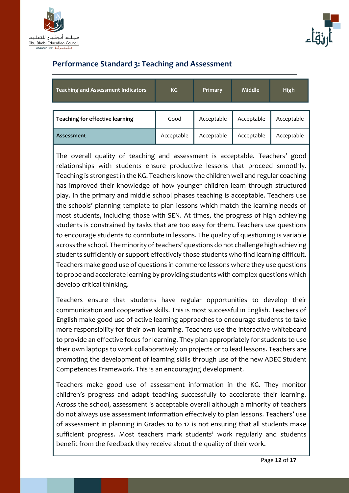



### **Performance Standard 3: Teaching and Assessment**

| <b>Teaching and Assessment Indicators</b> | KG         | Primary    | <b>Middle</b> | <b>High</b> |
|-------------------------------------------|------------|------------|---------------|-------------|
|                                           |            |            |               |             |
| Teaching for effective learning           | Good       | Acceptable | Acceptable    | Acceptable  |
| <b>Assessment</b>                         | Acceptable | Acceptable | Acceptable    | Acceptable  |

The overall quality of teaching and assessment is acceptable. Teachers' good relationships with students ensure productive lessons that proceed smoothly. Teaching is strongest in the KG. Teachers know the children well and regular coaching has improved their knowledge of how younger children learn through structured play. In the primary and middle school phases teaching is acceptable. Teachers use the schools' planning template to plan lessons which match the learning needs of most students, including those with SEN. At times, the progress of high achieving students is constrained by tasks that are too easy for them. Teachers use questions to encourage students to contribute in lessons. The quality of questioning is variable across the school. The minority of teachers' questions do not challenge high achieving students sufficiently or support effectively those students who find learning difficult. Teachers make good use of questions in commerce lessons where they use questions to probe and accelerate learning by providing students with complex questions which develop critical thinking.

Teachers ensure that students have regular opportunities to develop their communication and cooperative skills. This is most successful in English. Teachers of English make good use of active learning approaches to encourage students to take more responsibility for their own learning. Teachers use the interactive whiteboard to provide an effective focus for learning. They plan appropriately for students to use their own laptops to work collaboratively on projects or to lead lessons. Teachers are promoting the development of learning skills through use of the new ADEC Student Competences Framework. This is an encouraging development.

Teachers make good use of assessment information in the KG. They monitor children's progress and adapt teaching successfully to accelerate their learning. Across the school, assessment is acceptable overall although a minority of teachers do not always use assessment information effectively to plan lessons. Teachers' use of assessment in planning in Grades 10 to 12 is not ensuring that all students make sufficient progress. Most teachers mark students' work regularly and students benefit from the feedback they receive about the quality of their work.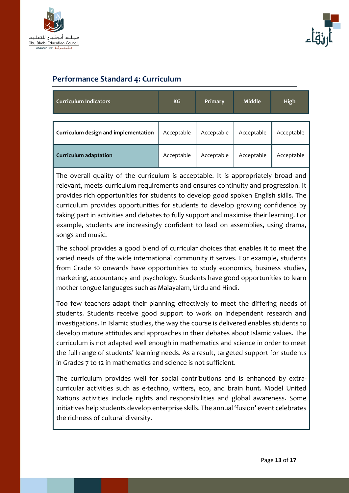



#### **Performance Standard 4: Curriculum**

| <b>Curriculum Indicators</b>         | <b>KG</b>  | Primary    | <b>Middle</b> | <b>High</b> |
|--------------------------------------|------------|------------|---------------|-------------|
|                                      |            |            |               |             |
| Curriculum design and implementation | Acceptable | Acceptable | Acceptable    | Acceptable  |
| <b>Curriculum adaptation</b>         | Acceptable | Acceptable | Acceptable    | Acceptable  |

The overall quality of the curriculum is acceptable. It is appropriately broad and relevant, meets curriculum requirements and ensures continuity and progression. It provides rich opportunities for students to develop good spoken English skills. The curriculum provides opportunities for students to develop growing confidence by taking part in activities and debates to fully support and maximise their learning. For example, students are increasingly confident to lead on assemblies, using drama, songs and music.

The school provides a good blend of curricular choices that enables it to meet the varied needs of the wide international community it serves. For example, students from Grade 10 onwards have opportunities to study economics, business studies, marketing, accountancy and psychology. Students have good opportunities to learn mother tongue languages such as Malayalam, Urdu and Hindi.

Too few teachers adapt their planning effectively to meet the differing needs of students. Students receive good support to work on independent research and investigations. In Islamic studies, the way the course is delivered enables students to develop mature attitudes and approaches in their debates about Islamic values. The curriculum is not adapted well enough in mathematics and science in order to meet the full range of students' learning needs. As a result, targeted support for students in Grades 7 to 12 in mathematics and science is not sufficient.

The curriculum provides well for social contributions and is enhanced by extracurricular activities such as e-techno, writers, eco, and brain hunt. Model United Nations activities include rights and responsibilities and global awareness. Some initiatives help students develop enterprise skills. The annual 'fusion' event celebrates the richness of cultural diversity.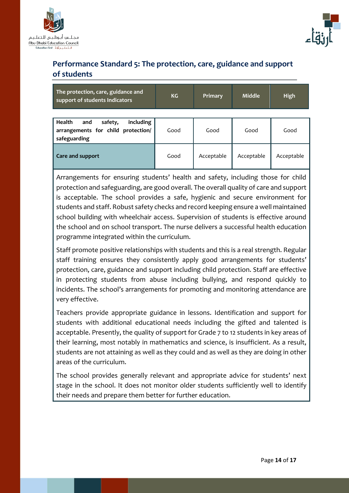



## **Performance Standard 5: The protection, care, guidance and support of students**

| The protection, care, guidance and<br>support of students Indicators                        | <b>KG</b> | Primary    | <b>Middle</b> | <b>High</b> |
|---------------------------------------------------------------------------------------------|-----------|------------|---------------|-------------|
| Health<br>including<br>and<br>safety,<br>arrangements for child protection/<br>safeguarding | Good      | Good       | Good          | Good        |
| Care and support                                                                            | Good      | Acceptable | Acceptable    | Acceptable  |

Arrangements for ensuring students' health and safety, including those for child protection and safeguarding, are good overall. The overall quality of care and support is acceptable. The school provides a safe, hygienic and secure environment for students and staff. Robust safety checks and record keeping ensure a well maintained school building with wheelchair access. Supervision of students is effective around the school and on school transport. The nurse delivers a successful health education programme integrated within the curriculum.

Staff promote positive relationships with students and this is a real strength. Regular staff training ensures they consistently apply good arrangements for students' protection, care, guidance and support including child protection. Staff are effective in protecting students from abuse including bullying, and respond quickly to incidents. The school's arrangements for promoting and monitoring attendance are very effective.

Teachers provide appropriate guidance in lessons. Identification and support for students with additional educational needs including the gifted and talented is acceptable. Presently, the quality of support for Grade 7 to 12 students in key areas of their learning, most notably in mathematics and science, is insufficient. As a result, students are not attaining as well as they could and as well as they are doing in other areas of the curriculum.

The school provides generally relevant and appropriate advice for students' next stage in the school. It does not monitor older students sufficiently well to identify their needs and prepare them better for further education.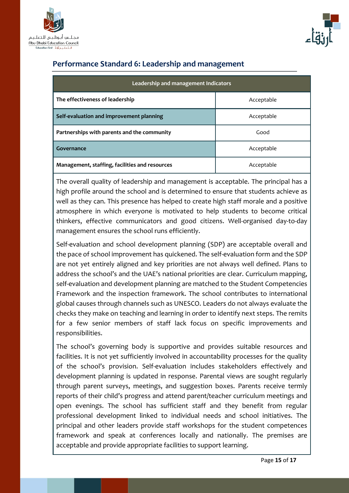



#### **Performance Standard 6: Leadership and management**

| Leadership and management Indicators           |            |  |
|------------------------------------------------|------------|--|
| The effectiveness of leadership                | Acceptable |  |
| Self-evaluation and improvement planning       | Acceptable |  |
| Partnerships with parents and the community    | Good       |  |
| Governance                                     | Acceptable |  |
| Management, staffing, facilities and resources | Acceptable |  |

The overall quality of leadership and management is acceptable. The principal has a high profile around the school and is determined to ensure that students achieve as well as they can. This presence has helped to create high staff morale and a positive atmosphere in which everyone is motivated to help students to become critical thinkers, effective communicators and good citizens. Well-organised day-to-day management ensures the school runs efficiently.

Self-evaluation and school development planning (SDP) are acceptable overall and the pace of school improvement has quickened. The self-evaluation form and the SDP are not yet entirely aligned and key priorities are not always well defined. Plans to address the school's and the UAE's national priorities are clear. Curriculum mapping, self-evaluation and development planning are matched to the Student Competencies Framework and the inspection framework. The school contributes to international global causes through channels such as UNESCO. Leaders do not always evaluate the checks they make on teaching and learning in order to identify next steps. The remits for a few senior members of staff lack focus on specific improvements and responsibilities.

The school's governing body is supportive and provides suitable resources and facilities. It is not yet sufficiently involved in accountability processes for the quality of the school's provision. Self-evaluation includes stakeholders effectively and development planning is updated in response. Parental views are sought regularly through parent surveys, meetings, and suggestion boxes. Parents receive termly reports of their child's progress and attend parent/teacher curriculum meetings and open evenings. The school has sufficient staff and they benefit from regular professional development linked to individual needs and school initiatives. The principal and other leaders provide staff workshops for the student competences framework and speak at conferences locally and nationally. The premises are acceptable and provide appropriate facilities to support learning.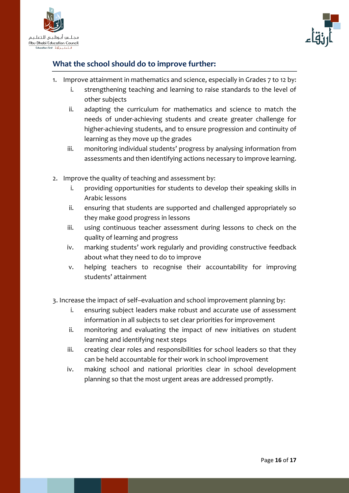



### **What the school should do to improve further:**

- 1. Improve attainment in mathematics and science, especially in Grades 7 to 12 by:
	- i. strengthening teaching and learning to raise standards to the level of other subjects
	- ii. adapting the curriculum for mathematics and science to match the needs of under-achieving students and create greater challenge for higher-achieving students, and to ensure progression and continuity of learning as they move up the grades
	- iii. monitoring individual students' progress by analysing information from assessments and then identifying actions necessary to improve learning.
- 2. Improve the quality of teaching and assessment by:
	- i. providing opportunities for students to develop their speaking skills in Arabic lessons
	- ii. ensuring that students are supported and challenged appropriately so they make good progress in lessons
	- iii. using continuous teacher assessment during lessons to check on the quality of learning and progress
	- iv. marking students' work regularly and providing constructive feedback about what they need to do to improve
	- v. helping teachers to recognise their accountability for improving students' attainment
- 3. Increase the impact of self–evaluation and school improvement planning by:
	- i. ensuring subject leaders make robust and accurate use of assessment information in all subjects to set clear priorities for improvement
	- ii. monitoring and evaluating the impact of new initiatives on student learning and identifying next steps
	- iii. creating clear roles and responsibilities for school leaders so that they can be held accountable for their work in school improvement
	- iv. making school and national priorities clear in school development planning so that the most urgent areas are addressed promptly.